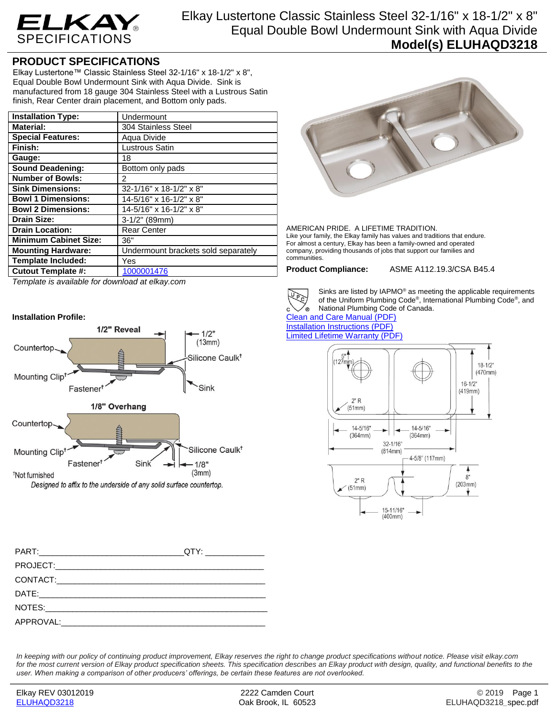

## **PRODUCT SPECIFICATIONS**

Elkay Lustertone™ Classic Stainless Steel 32-1/16" x 18-1/2" x 8", Equal Double Bowl Undermount Sink with Aqua Divide. Sink is manufactured from 18 gauge 304 Stainless Steel with a Lustrous Satin finish, Rear Center drain placement, and Bottom only pads.

| <b>Installation Type:</b>    | Undermount                          |
|------------------------------|-------------------------------------|
| <b>Material:</b>             | 304 Stainless Steel                 |
| <b>Special Features:</b>     | Aqua Divide                         |
| Finish:                      | <b>Lustrous Satin</b>               |
| Gauge:                       | 18                                  |
| Sound Deadening:             | Bottom only pads                    |
| <b>Number of Bowls:</b>      | 2                                   |
| <b>Sink Dimensions:</b>      | 32-1/16" x 18-1/2" x 8"             |
| <b>Bowl 1 Dimensions:</b>    | 14-5/16" x 16-1/2" x 8"             |
| <b>Bowl 2 Dimensions:</b>    | 14-5/16" x 16-1/2" x 8"             |
| <b>Drain Size:</b>           | $3-1/2"$ (89mm)                     |
| <b>Drain Location:</b>       | <b>Rear Center</b>                  |
| <b>Minimum Cabinet Size:</b> | 36"                                 |
| <b>Mounting Hardware:</b>    | Undermount brackets sold separately |
| <b>Template Included:</b>    | Yes                                 |
| <b>Cutout Template #:</b>    | 1000001476                          |

*Template is available for download at elkay.com*

## **Installation Profile:**



AMERICAN PRIDE. A LIFETIME TRADITION. Like your family, the Elkay family has values and traditions that endure. For almost a century, Elkay has been a family-owned and operated company, providing thousands of jobs that support our families and communities.

**Product Compliance:** ASME A112.19.3/CSA B45.4



์<br>®

Sinks are listed by IAPMO® as meeting the applicable requirements of the Uniform Plumbing Code® , International Plumbing Code® , and National Plumbing Code of Canada.

[Clean and Care Manual \(PDF\)](http://www.elkay.com/wcsstore/lkdocs/care-cleaning-install-warranty-sheets/residential%20and%20commercial%20care%20%20cleaning.pdf) [Installation Instructions \(PDF\)](http://www.elkay.com/wcsstore/lkdocs/care-cleaning-install-warranty-sheets/74180615.pdf) [Limited Lifetime Warranty](http://www.elkay.com/wcsstore/lkdocs/care-cleaning-install-warranty-sheets/residential%20sinks%20warranty.pdf) (PDF)



*In keeping with our policy of continuing product improvement, Elkay reserves the right to change product specifications without notice. Please visit elkay.com*  for the most current version of Elkay product specification sheets. This specification describes an Elkay product with design, quality, and functional benefits to the *user. When making a comparison of other producers' offerings, be certain these features are not overlooked.*